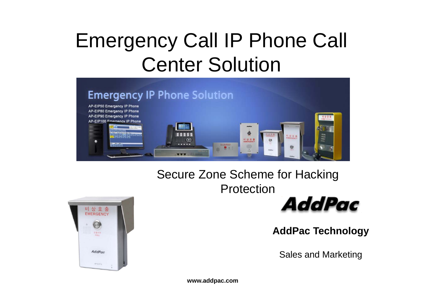## Emergency Call IP Phone Call Center Solution



#### Secure Zone Scheme for Hacking Protection





**AddPac Technology**

Sales and Marketing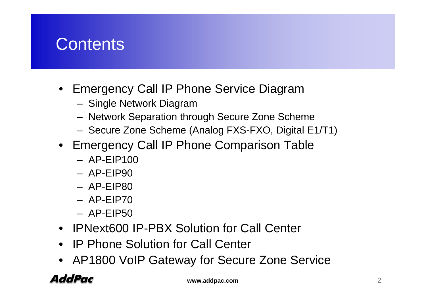#### **Contents**

- Emergency Call IP Phone Service Diagram
	- Single Network Diagram
	- Network Separation through Secure Zone Scheme
	- Secure Zone Scheme (Analog FXS-FXO, Digital E1/T1)
- Emergency Call IP Phone Comparison Table
	- AP-EIP100
	- AP-EIP90
	- AP-EIP80
	- AP-EIP70
	- AP-EIP50
- IPNext600 IP-PBX Solution for Call Center
- IP Phone Solution for Call Center
- AP1800 VoIP Gateway for Secure Zone Service

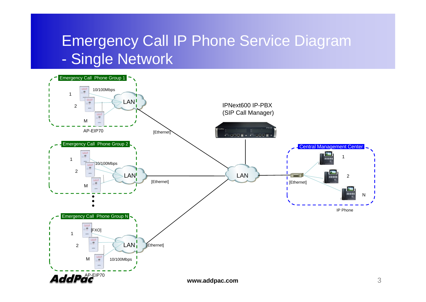#### Emergency Call IP Phone Service Diagram -Single Network

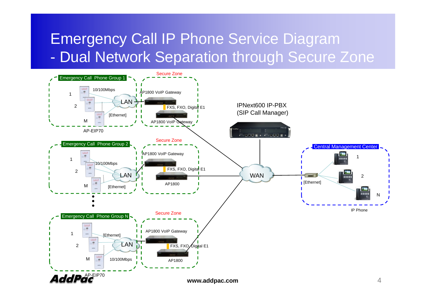#### Emergency Call IP Phone Service Diagram Dual Network Separation through Secure Zone

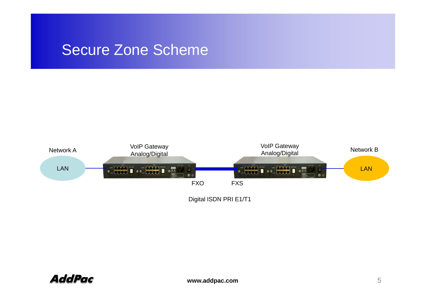#### Secure Zone Scheme



Digital ISDN PRI E1/T1

**AddPac**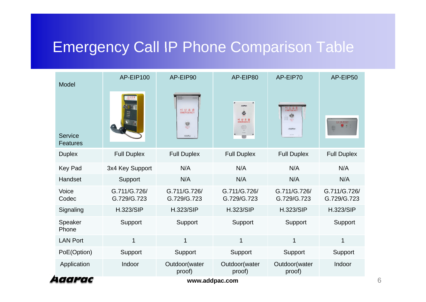### Emergency Call IP Phone Comparison Table

| Model                            | AP-EIP100                   | AP-EIP90                                  | AP-EIP80                    | AP-EIP70                    | AP-EIP50                    |
|----------------------------------|-----------------------------|-------------------------------------------|-----------------------------|-----------------------------|-----------------------------|
| Service<br><b>Features</b>       |                             | 비상호출<br>EMERGENCY<br>$\bullet$<br>Adolfow | ۵<br>비상호출<br>EMERGENCY<br>W | 비상호출<br>EMERGENCY           | I                           |
| <b>Duplex</b>                    | <b>Full Duplex</b>          | <b>Full Duplex</b>                        | <b>Full Duplex</b>          | <b>Full Duplex</b>          | <b>Full Duplex</b>          |
| <b>Key Pad</b>                   | 3x4 Key Support             | N/A                                       | N/A                         | N/A                         | N/A                         |
| Handset                          | Support                     | N/A                                       | N/A                         | N/A                         | N/A                         |
| Voice<br>Codec                   | G.711/G.726/<br>G.729/G.723 | G.711/G.726/<br>G.729/G.723               | G.711/G.726/<br>G.729/G.723 | G.711/G.726/<br>G.729/G.723 | G.711/G.726/<br>G.729/G.723 |
| Signaling                        | <b>H.323/SIP</b>            | <b>H.323/SIP</b>                          | <b>H.323/SIP</b>            | <b>H.323/SIP</b>            | <b>H.323/SIP</b>            |
| Speaker<br>Phone                 | Support                     | Support                                   | Support                     | Support                     | Support                     |
| <b>LAN Port</b>                  | $\mathbf{1}$                | 1                                         | 1                           | 1                           | 1                           |
| PoE(Option)                      | Support                     | Support                                   | Support                     | Support                     | Support                     |
| Application                      | Indoor                      | Outdoor(water<br>proof)                   | Outdoor(water<br>proof)     | Outdoor(water<br>proof)     | Indoor                      |
| l <i>aarac</i><br>www.addpac.com |                             |                                           |                             |                             |                             |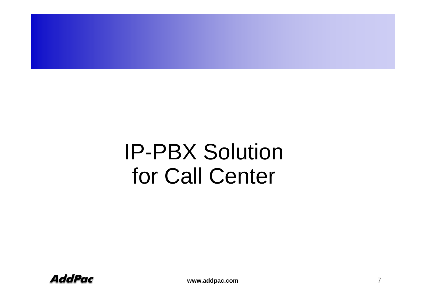# **IP-PBX Solution** for Call Center

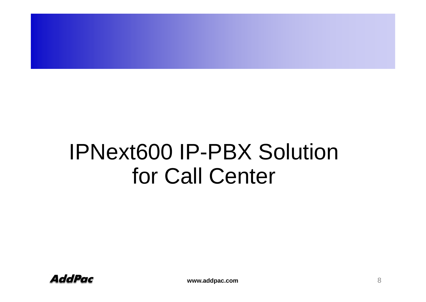# IPNext600 IP-PBX Solution for Call Center

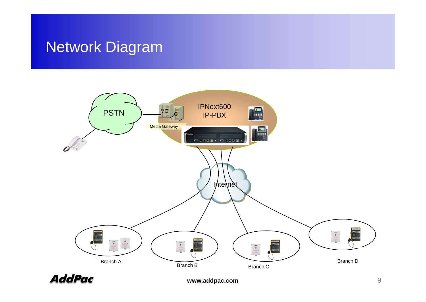#### Network Diagram



**AddPac**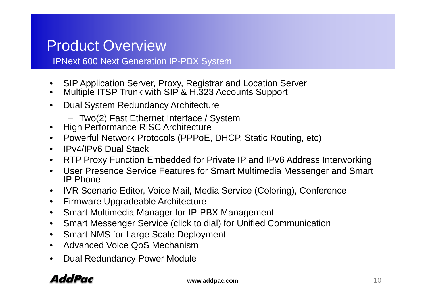#### Product Overview

IPNext 600 Next Generation IP-PBX System

- •SIP Application Server, Proxy, Registrar and Location Server
- •Multiple ITSP Trunk with SIP<sup>'</sup> & H.323 Accounts Support
- • Dual System Redundancy Architecture
	- Two(2) Fast Ethernet Interface / System
- High Performance RISC Architecture
- Powerful Network Protocols (PPPoE, DHCP, Static Routing, etc)
- IPv4/IPv6 Dual Stack
- RTP Proxy Function Embedded for Private IP and IPv6 Address Interworking
- User Presence Service Features for Smart Multimedia Messenger and Smart IP Phone
- $\bullet$ IVR Scenario Editor, Voice Mail, Media Service (Coloring), Conference
- $\bullet$ Firmware Upgradeable Architecture
- $\bullet$ Smart Multimedia Manager for IP-PBX Management
- $\bullet$ Smart Messenger Service (click to dial) for Unified Communication
- •Smart NMS for Large Scale Deployment
- $\bullet$ Advanced Voice QoS Mechanism
- •Dual Redundancy Power Module

#### AddPac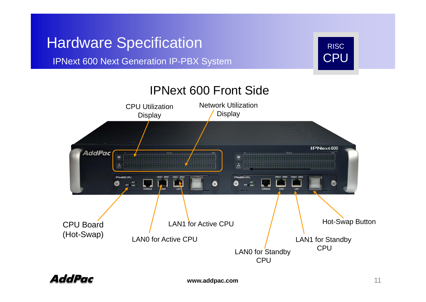#### Hardware Specification **RISC RISC RISC** RISC

IPNext 600 Next Generation IP-PBX System CPU



AddPac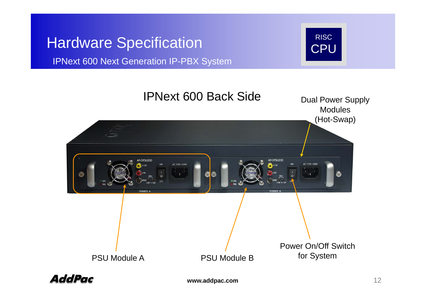#### Hardware Specification RISC CPU

IPNext 600 Next Generation IP-PBX System





**www.addpac.com** 12

**CPU**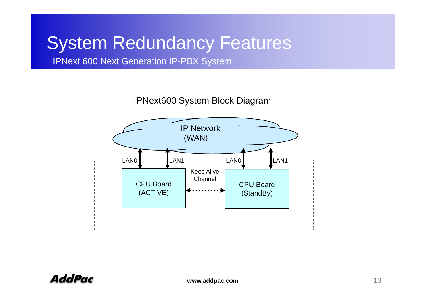## System Redundancy Features

IPNext 600 Next Generation IP-PBX System

IPNext600 System Block Diagram

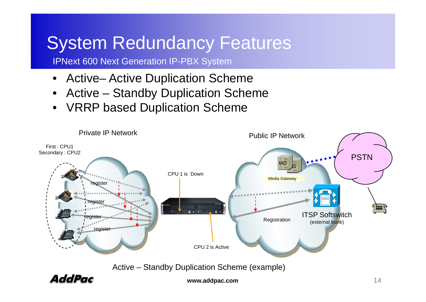## System Redundancy Features

IPNext 600 Next Generation IP-PBX System

- $\bullet$ • Active– Active Duplication Scheme
- •Active – Standby Duplication Scheme
- $\bullet$ VRRP based Duplication Scheme



Active – Standby Duplication Scheme (example)

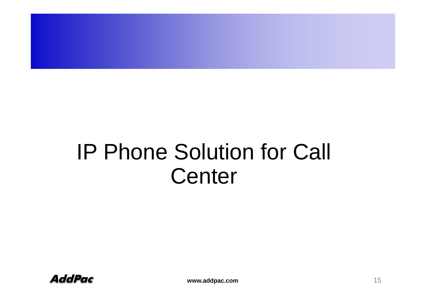# IP Phone Solution for Call Center

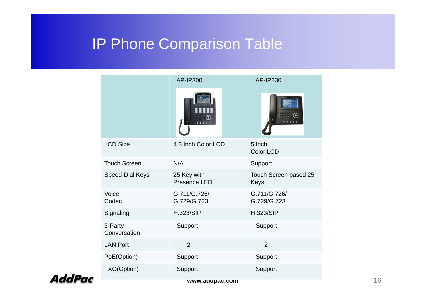# IP Phone Comparison Table<br>
Phone Comparison<br>
AP-IP300

|                         | AP-IP300                    | AP-IP230                      |
|-------------------------|-----------------------------|-------------------------------|
|                         |                             |                               |
| <b>LCD Size</b>         | 4.3 Inch Color LCD          | 5 Inch<br>Color LCD           |
| <b>Touch Screen</b>     | N/A                         | Support                       |
| Speed-Dial Keys         | 25 Key with<br>Presence LED | Touch Screen based 25<br>Keys |
| Voice<br>Codec          | G.711/G.726/<br>G.729/G.723 | G.711/G.726/<br>G.729/G.723   |
| Signaling               | <b>H.323/SIP</b>            | <b>H.323/SIP</b>              |
| 3-Party<br>Conversation | Support                     | Support                       |
| <b>LAN Port</b>         | $\overline{2}$              | $\overline{2}$                |
| PoE(Option)             | Support                     | Support                       |
| FXO(Option)             | Support                     | Support                       |
|                         | www.addpac.com              |                               |

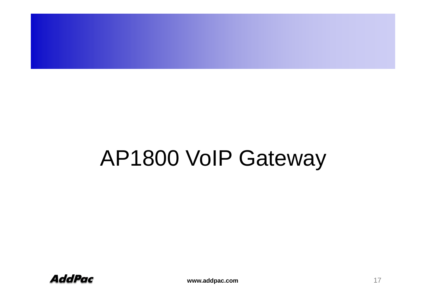# AP1800 VoIP Gateway

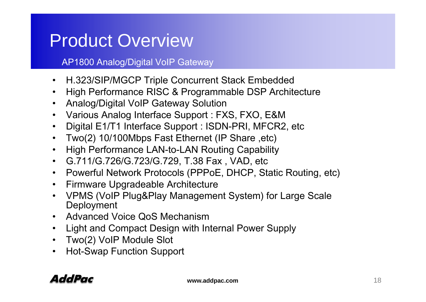## Product Overview

AP1800 Analog/Digital VoIP Gateway

- $\bullet$ • H.323/SIP/MGCP Triple Concurrent Stack Embedded<br>• High Performance RISC & Programmable DSP Archit
- High Performance RISC & Programmable DSP Architecture
- Analog/Digital VoIP Gateway Solution
- Various Analog Interface Support : FXS, FXO, E&M
- Digital E1/T1 Interface Support : ISDN-PRI, MFCR2, etc
- $\bullet$ Two(2) 10/100Mbps Fast Ethernet (IP Share ,etc)
- High Performance LAN-to-LAN Routing Capability
- G.711/G.726/G.723/G.729, T.38 Fax , VAD, etc
- Powerful Network Protocols (PPPoE, DHCP, Static Routing, etc)
- Firmware Upgradeable Architecture
- VPMS (VoIP Plug&Play Management System) for Large Scale **Deployment**
- Advanced Voice QoS Mechanism
- Light and Compact Design with Internal Power Supply
- Two(2) VoIP Module Slot
- Hot-Swap Function Support

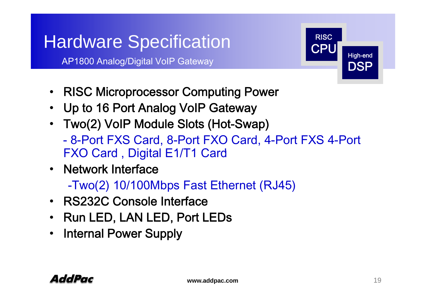## Hardware Specification RISC and RISC

AP1800 Analog/Digital VoIP Gateway



- RISC Microprocessor Computing Power
- Up to 16 Port Analog VoIP Gateway
- Two(2) VoIP Module Slots (Hot-Swap) - 8-Port FXS Card, 8-Port FXO Card, 4-Port FXS 4-Port FXO Card, Digital E1/T1 Card
- Network Interface

-Two(2) 10/100Mbps Fast Ethernet (RJ45)

- RS232C Console Interface
- Run LED, LAN LED, Port LEDs
- Internal Power Supply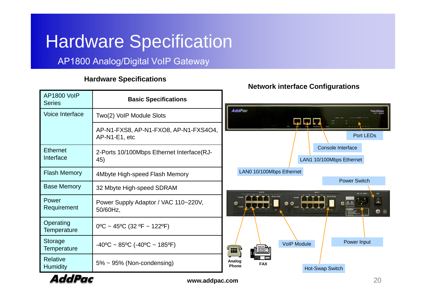## Hardware Specification

#### AP1800 Analog/Digital VoIP Gateway

#### **Hardware Specifications p**

|                                     |                                                        | <u>number musique obimiquianons</u>                                                                     |  |  |  |  |
|-------------------------------------|--------------------------------------------------------|---------------------------------------------------------------------------------------------------------|--|--|--|--|
| <b>AP1800 VoIP</b><br><b>Series</b> | <b>Basic Specifications</b>                            |                                                                                                         |  |  |  |  |
| Voice Interface                     | Two(2) VoIP Module Slots                               | <b>AddPac</b><br>Voicefinder                                                                            |  |  |  |  |
|                                     | AP-N1-FXS8, AP-N1-FXO8, AP-N1-FXS4O4,<br>AP-N1-E1, etc | Port LEDs                                                                                               |  |  |  |  |
| <b>Ethernet</b><br>Interface        | 2-Ports 10/100Mbps Ethernet Interface(RJ-<br>45)       | Console Interface<br>LAN1 10/100Mbps Ethernet                                                           |  |  |  |  |
| <b>Flash Memory</b>                 | 4Mbyte High-speed Flash Memory                         | LAN0 10/100Mbps Ethernet                                                                                |  |  |  |  |
| <b>Base Memory</b>                  | 32 Mbyte High-speed SDRAM                              | <b>Power Switch</b><br>AC 110-220                                                                       |  |  |  |  |
| Power<br>Requirement                | Power Supply Adaptor / VAC 110~220V,<br>50/60Hz,       | $\frac{1}{\circ}$<br>$\mathbb{F}_2$<br>$\circ$ $\mathbb{A}\mathbb{A}$<br>$\bullet$ $\bullet$<br>$\odot$ |  |  |  |  |
| Operating<br>Temperature            | $0^{\circ}$ C ~ 45°C (32 °F ~ 122°F)                   |                                                                                                         |  |  |  |  |
| Storage<br>Temperature              | $-40^{\circ}$ C ~ 85°C (-40°C ~ 185°F)                 | Power Input<br><b>VolP Module</b><br>HI \                                                               |  |  |  |  |
| Relative<br><b>Humidity</b>         | $5\% \sim 95\%$ (Non-condensing)                       | Analog<br><b>FAX</b><br><b>Phone</b><br>Hot-Swap Switch                                                 |  |  |  |  |
| AddPac<br>20<br>www.addpac.com      |                                                        |                                                                                                         |  |  |  |  |

**www.addpac.com** 20

**Network interface Configurations**